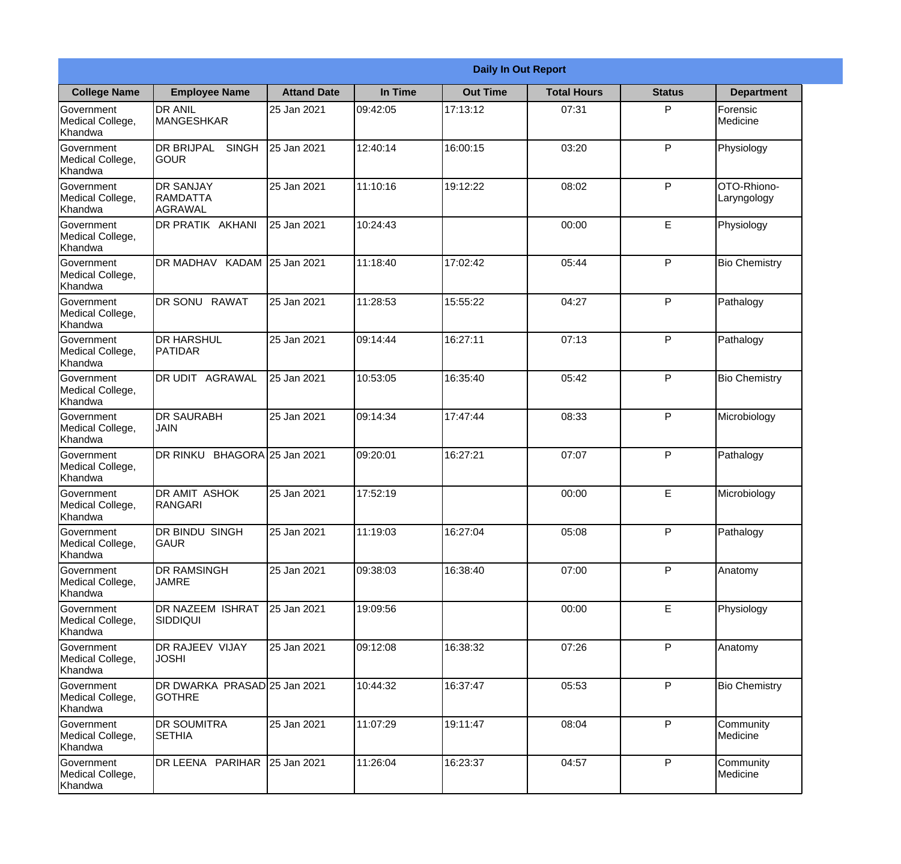|                                                  |                                                |                     |          | <b>Daily In Out Report</b> |                    |               |                            |
|--------------------------------------------------|------------------------------------------------|---------------------|----------|----------------------------|--------------------|---------------|----------------------------|
| <b>College Name</b>                              | <b>Employee Name</b>                           | <b>Attand Date</b>  | In Time  | <b>Out Time</b>            | <b>Total Hours</b> | <b>Status</b> | <b>Department</b>          |
| Government<br>Medical College,<br>Khandwa        | <b>DR ANIL</b><br><b>MANGESHKAR</b>            | 25 Jan 2021         | 09:42:05 | 17:13:12                   | 07:31              | P             | Forensic<br>Medicine       |
| Government<br>Medical College,<br>Khandwa        | <b>DR BRIJPAL</b><br><b>SINGH</b><br> GOUR     | 25 Jan 2021         | 12:40:14 | 16:00:15                   | 03:20              | P             | Physiology                 |
| <b>Government</b><br>Medical College,<br>Khandwa | <b>DR SANJAY</b><br><b>RAMDATTA</b><br>AGRAWAL | 25 Jan 2021         | 11:10:16 | 19:12:22                   | 08:02              | P             | OTO-Rhiono-<br>Laryngology |
| <b>Government</b><br>Medical College,<br>Khandwa | <b>DR PRATIK AKHANI</b>                        | 25 Jan 2021         | 10:24:43 |                            | 00:00              | E             | Physiology                 |
| Government<br>Medical College,<br>Khandwa        | DR MADHAV KADAM 25 Jan 2021                    |                     | 11:18:40 | 17:02:42                   | 05:44              | P             | <b>Bio Chemistry</b>       |
| Government<br>Medical College,<br>Khandwa        | DR SONU RAWAT                                  | 25 Jan 2021         | 11:28:53 | 15:55:22                   | 04:27              | P             | Pathalogy                  |
| <b>Government</b><br>Medical College,<br>Khandwa | <b>DR HARSHUL</b><br><b>PATIDAR</b>            | 25 Jan 2021         | 09:14:44 | 16:27:11                   | 07:13              | P             | Pathalogy                  |
| <b>Government</b><br>Medical College,<br>Khandwa | <b>DR UDIT AGRAWAL</b>                         | 25 Jan 2021         | 10:53:05 | 16:35:40                   | 05:42              | P             | <b>Bio Chemistry</b>       |
| Government<br>Medical College,<br>Khandwa        | <b>DR SAURABH</b><br><b>JAIN</b>               | 25 Jan 2021         | 09:14:34 | 17:47:44                   | 08:33              | P             | Microbiology               |
| Government<br>Medical College,<br>Khandwa        | DR RINKU                                       | BHAGORA 25 Jan 2021 | 09:20:01 | 16:27:21                   | 07:07              | P             | Pathalogy                  |
| Government<br>Medical College,<br>Khandwa        | <b>DR AMIT ASHOK</b><br>RANGARI                | 25 Jan 2021         | 17:52:19 |                            | 00:00              | E             | Microbiology               |
| Government<br>Medical College,<br>Khandwa        | <b>DR BINDU SINGH</b><br><b>GAUR</b>           | 25 Jan 2021         | 11:19:03 | 16:27:04                   | 05:08              | P             | Pathalogy                  |
| Government<br>Medical College,<br>Khandwa        | <b>DR RAMSINGH</b><br><b>JAMRE</b>             | 25 Jan 2021         | 09:38:03 | 16:38:40                   | 07:00              | P             | Anatomy                    |
| Government<br>Medical College,<br>Khandwa        | <b>DR NAZEEM ISHRAT</b><br><b>SIDDIQUI</b>     | 25 Jan 2021         | 19:09:56 |                            | 00:00              | $\mathsf E$   | Physiology                 |
| <b>Government</b><br>Medical College,<br>Khandwa | <b>DR RAJEEV VIJAY</b><br><b>JOSHI</b>         | 25 Jan 2021         | 09:12:08 | 16:38:32                   | 07:26              | P             | Anatomy                    |
| Government<br>Medical College,<br>Khandwa        | DR DWARKA PRASAD 25 Jan 2021<br><b>GOTHRE</b>  |                     | 10:44:32 | 16:37:47                   | 05:53              | P             | <b>Bio Chemistry</b>       |
| Government<br>Medical College,<br>Khandwa        | <b>DR SOUMITRA</b><br><b>SETHIA</b>            | 25 Jan 2021         | 11:07:29 | 19:11:47                   | 08:04              | P             | Community<br>Medicine      |
| Government<br>Medical College,<br>Khandwa        | DR LEENA PARIHAR                               | 25 Jan 2021         | 11:26:04 | 16:23:37                   | 04:57              | P             | Community<br>Medicine      |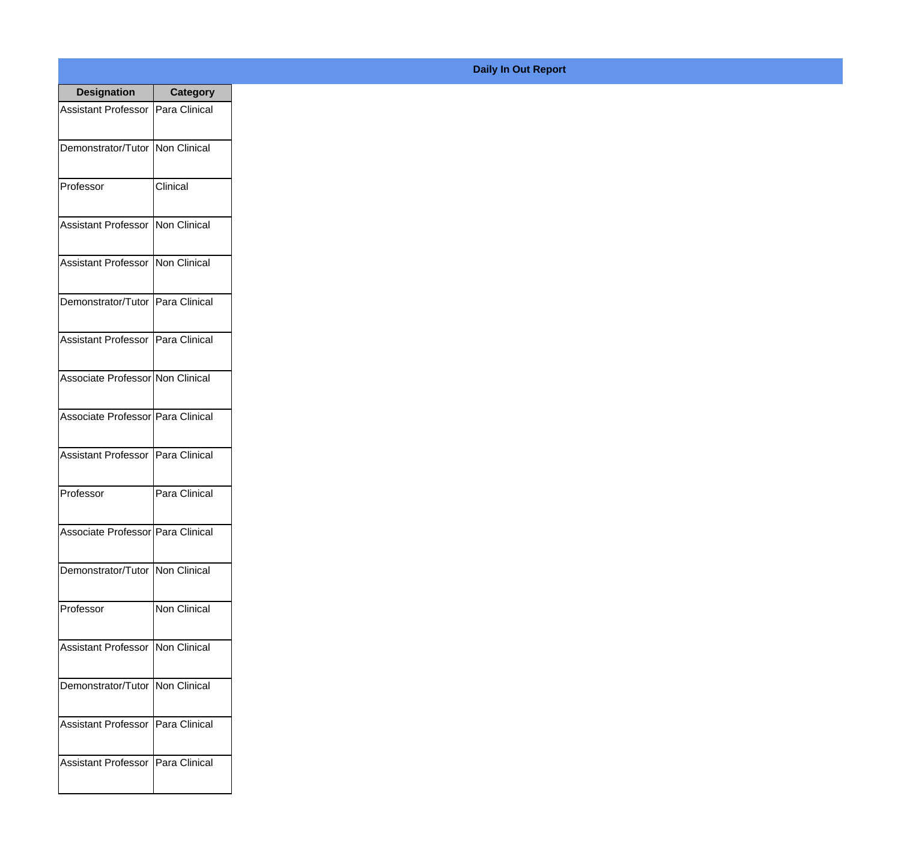| <b>Designation</b>                  | <b>Category</b>     |
|-------------------------------------|---------------------|
| Assistant Professor   Para Clinical |                     |
| Demonstrator/Tutor   Non Clinical   |                     |
| Professor                           | Clinical            |
| Assistant Professor   Non Clinical  |                     |
| Assistant Professor   Non Clinical  |                     |
| Demonstrator/Tutor   Para Clinical  |                     |
| Assistant Professor Para Clinical   |                     |
| Associate Professor Non Clinical    |                     |
| Associate Professor Para Clinical   |                     |
| <b>Assistant Professor</b>          | Para Clinical       |
| Professor                           | Para Clinical       |
| Associate Professor   Para Clinical |                     |
| Demonstrator/Tutor   Non Clinical   |                     |
| Professor                           | <b>Non Clinical</b> |
| Assistant Professor   Non Clinical  |                     |
| Demonstrator/Tutor   Non Clinical   |                     |
| <b>Assistant Professor</b>          | Para Clinical       |
| <b>Assistant Professor</b>          | Para Clinical       |

## **Daily In Out Report**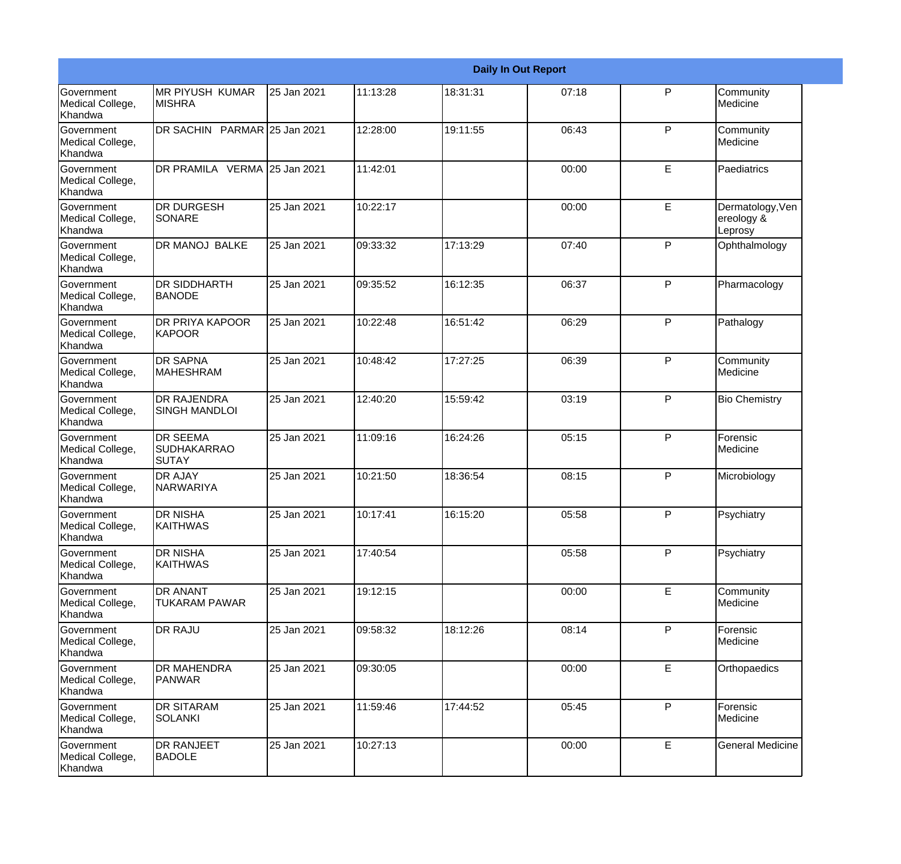|                                                  |                                                |             |          |          | <b>Daily In Out Report</b> |              |                                           |
|--------------------------------------------------|------------------------------------------------|-------------|----------|----------|----------------------------|--------------|-------------------------------------------|
| Government<br>Medical College,<br>Khandwa        | <b>MR PIYUSH KUMAR</b><br><b>MISHRA</b>        | 25 Jan 2021 | 11:13:28 | 18:31:31 | 07:18                      | $\mathsf{P}$ | Community<br>Medicine                     |
| <b>Government</b><br>Medical College,<br>Khandwa | DR SACHIN PARMAR 25 Jan 2021                   |             | 12:28:00 | 19:11:55 | 06:43                      | P            | Community<br>Medicine                     |
| <b>Government</b><br>Medical College,<br>Khandwa | DR PRAMILA VERMA 25 Jan 2021                   |             | 11:42:01 |          | 00:00                      | E            | Paediatrics                               |
| <b>Government</b><br>Medical College,<br>Khandwa | <b>DR DURGESH</b><br>SONARE                    | 25 Jan 2021 | 10:22:17 |          | 00:00                      | E            | Dermatology, Ven<br>ereology &<br>Leprosy |
| <b>Government</b><br>Medical College,<br>Khandwa | DR MANOJ BALKE                                 | 25 Jan 2021 | 09:33:32 | 17:13:29 | 07:40                      | P            | Ophthalmology                             |
| <b>Government</b><br>Medical College,<br>Khandwa | <b>DR SIDDHARTH</b><br>BANODE                  | 25 Jan 2021 | 09:35:52 | 16:12:35 | 06:37                      | P            | Pharmacology                              |
| Government<br>Medical College,<br>Khandwa        | <b>DR PRIYA KAPOOR</b><br><b>KAPOOR</b>        | 25 Jan 2021 | 10:22:48 | 16:51:42 | 06:29                      | P            | Pathalogy                                 |
| Government<br>Medical College,<br>Khandwa        | <b>DR SAPNA</b><br><b>MAHESHRAM</b>            | 25 Jan 2021 | 10:48:42 | 17:27:25 | 06:39                      | P            | Community<br>Medicine                     |
| Government<br>Medical College,<br>Khandwa        | <b>DR RAJENDRA</b><br><b>SINGH MANDLOI</b>     | 25 Jan 2021 | 12:40:20 | 15:59:42 | 03:19                      | $\mathsf{P}$ | <b>Bio Chemistry</b>                      |
| <b>Government</b><br>Medical College,<br>Khandwa | <b>DR SEEMA</b><br><b>SUDHAKARRAO</b><br>SUTAY | 25 Jan 2021 | 11:09:16 | 16:24:26 | 05:15                      | P            | Forensic<br>Medicine                      |
| <b>Government</b><br>Medical College,<br>Khandwa | <b>DR AJAY</b><br>NARWARIYA                    | 25 Jan 2021 | 10:21:50 | 18:36:54 | 08:15                      | P            | Microbiology                              |
| Government<br>Medical College,<br>Khandwa        | <b>DR NISHA</b><br><b>KAITHWAS</b>             | 25 Jan 2021 | 10:17:41 | 16:15:20 | 05:58                      | $\mathsf{P}$ | Psychiatry                                |
| <b>Government</b><br>Medical College,<br>Khandwa | DR NISHA<br><b>KAITHWAS</b>                    | 25 Jan 2021 | 17:40:54 |          | 05:58                      | P            | Psychiatry                                |
| Government<br>Medical College,<br>Khandwa        | <b>DR ANANT</b><br>TUKARAM PAWAR               | 25 Jan 2021 | 19:12:15 |          | 00:00                      | E            | Community<br>Medicine                     |
| Government<br>Medical College,<br>Khandwa        | DR RAJU                                        | 25 Jan 2021 | 09:58:32 | 18:12:26 | 08:14                      | P            | Forensic<br>Medicine                      |
| Government<br>Medical College,<br>Khandwa        | <b>DR MAHENDRA</b><br>PANWAR                   | 25 Jan 2021 | 09:30:05 |          | 00:00                      | E            | Orthopaedics                              |
| Government<br>Medical College,<br>Khandwa        | <b>DR SITARAM</b><br>SOLANKI                   | 25 Jan 2021 | 11:59:46 | 17:44:52 | 05:45                      | P            | Forensic<br>Medicine                      |
| Government<br>Medical College,<br>Khandwa        | DR RANJEET<br><b>BADOLE</b>                    | 25 Jan 2021 | 10:27:13 |          | 00:00                      | E            | <b>General Medicine</b>                   |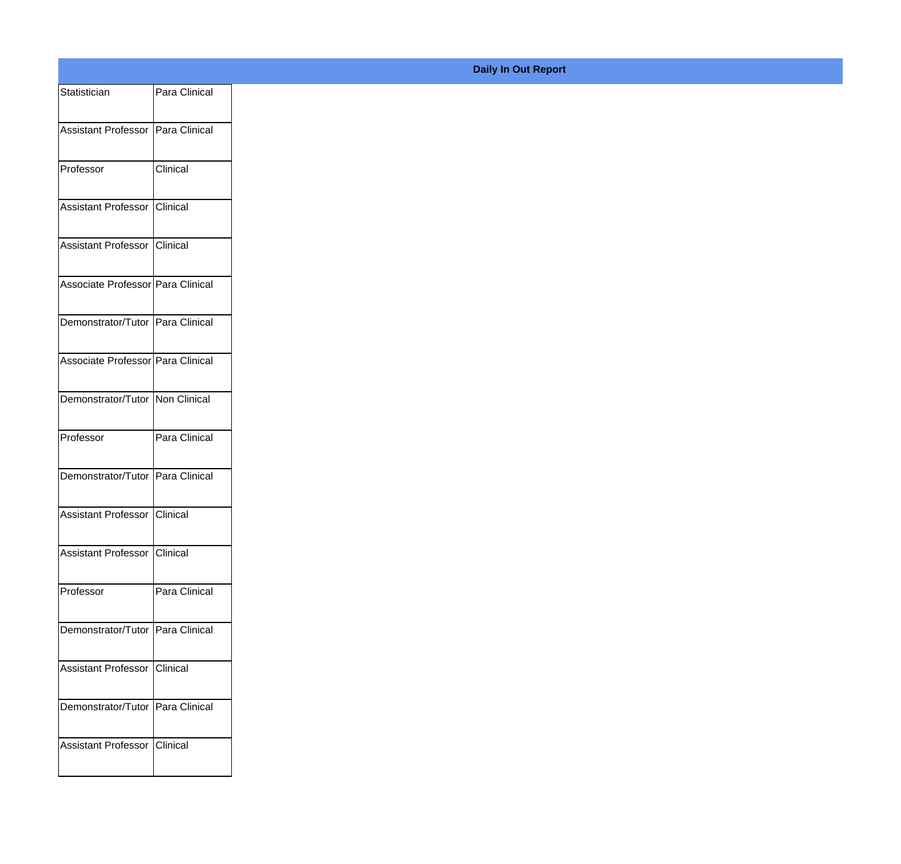| Statistician                        | Para Clinical |
|-------------------------------------|---------------|
| Assistant Professor   Para Clinical |               |
|                                     |               |
| Professor                           | Clinical      |
| Assistant Professor Clinical        |               |
|                                     |               |
| Assistant Professor Clinical        |               |
| Associate Professor Para Clinical   |               |
| Demonstrator/Tutor Para Clinical    |               |
|                                     |               |
| Associate Professor Para Clinical   |               |
| Demonstrator/Tutor Non Clinical     |               |
|                                     |               |
| Professor                           | Para Clinical |
| Demonstrator/Tutor Para Clinical    |               |
| Assistant Professor Clinical        |               |
|                                     |               |
| Assistant Professor Clinical        |               |
| Professor                           | Para Clinical |
| Demonstrator/Tutor Para Clinical    |               |
|                                     |               |
| Assistant Professor Clinical        |               |
| Demonstrator/Tutor Para Clinical    |               |
|                                     |               |
| Assistant Professor Clinical        |               |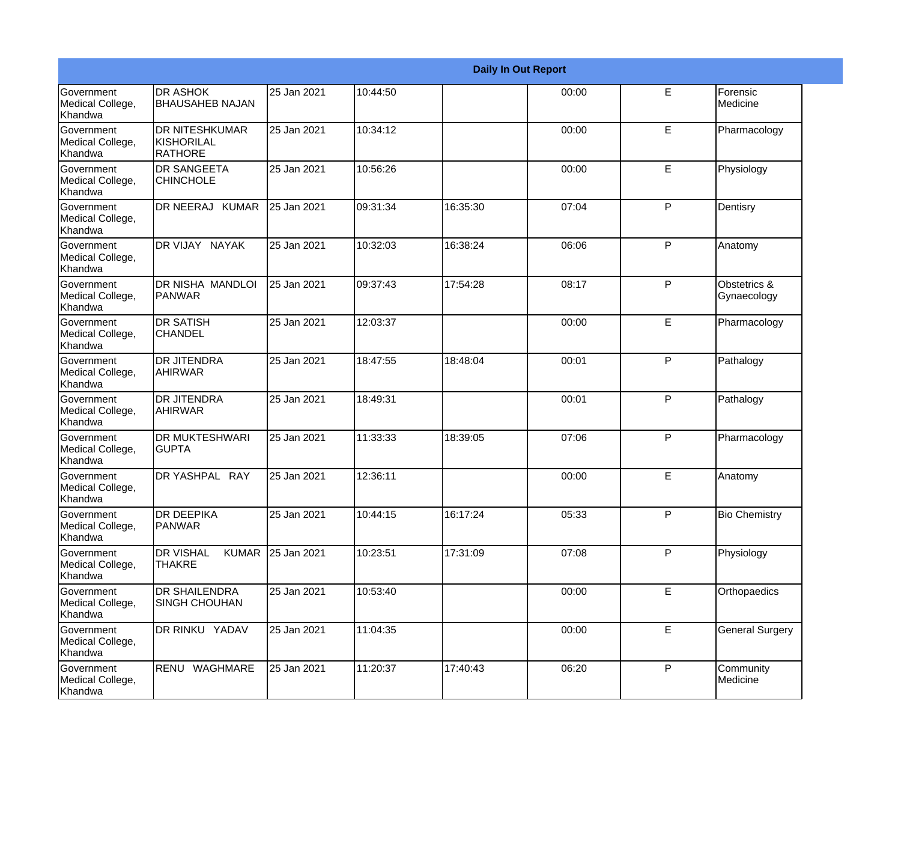|                                                  |                                                   |             |          |          | <b>Daily In Out Report</b> |    |                             |
|--------------------------------------------------|---------------------------------------------------|-------------|----------|----------|----------------------------|----|-----------------------------|
| Government<br>Medical College,<br>Khandwa        | <b>DR ASHOK</b><br><b>BHAUSAHEB NAJAN</b>         | 25 Jan 2021 | 10:44:50 |          | 00:00                      | E  | Forensic<br>Medicine        |
| Government<br>Medical College,<br>Khandwa        | <b>DR NITESHKUMAR</b><br>KISHORILAL<br>RATHORE    | 25 Jan 2021 | 10:34:12 |          | 00:00                      | E  | Pharmacology                |
| <b>Government</b><br>Medical College,<br>Khandwa | <b>DR SANGEETA</b><br><b>CHINCHOLE</b>            | 25 Jan 2021 | 10:56:26 |          | 00:00                      | E  | Physiology                  |
| <b>Government</b><br>Medical College,<br>Khandwa | DR NEERAJ KUMAR                                   | 25 Jan 2021 | 09:31:34 | 16:35:30 | 07:04                      | P  | Dentisry                    |
| Government<br>Medical College,<br>Khandwa        | DR VIJAY NAYAK                                    | 25 Jan 2021 | 10:32:03 | 16:38:24 | 06:06                      | P  | Anatomy                     |
| Government<br>Medical College,<br><b>Khandwa</b> | <b>DR NISHA MANDLOI</b><br>PANWAR                 | 25 Jan 2021 | 09:37:43 | 17:54:28 | 08:17                      | P  | Obstetrics &<br>Gynaecology |
| Government<br>Medical College,<br>Khandwa        | <b>DR SATISH</b><br><b>CHANDEL</b>                | 25 Jan 2021 | 12:03:37 |          | 00:00                      | E  | Pharmacology                |
| Government<br>Medical College,<br>Khandwa        | <b>DR JITENDRA</b><br><b>AHIRWAR</b>              | 25 Jan 2021 | 18:47:55 | 18:48:04 | 00:01                      | P  | Pathalogy                   |
| Government<br>Medical College,<br>Khandwa        | <b>DR JITENDRA</b><br><b>AHIRWAR</b>              | 25 Jan 2021 | 18:49:31 |          | 00:01                      | P  | Pathalogy                   |
| Government<br>Medical College,<br>Khandwa        | <b>DR MUKTESHWARI</b><br><b>GUPTA</b>             | 25 Jan 2021 | 11:33:33 | 18:39:05 | 07:06                      | P  | Pharmacology                |
| <b>Government</b><br>Medical College,<br>Khandwa | DR YASHPAL RAY                                    | 25 Jan 2021 | 12:36:11 |          | 00:00                      | E  | Anatomy                     |
| Government<br>Medical College,<br>Khandwa        | <b>DR DEEPIKA</b><br><b>PANWAR</b>                | 25 Jan 2021 | 10:44:15 | 16:17:24 | 05:33                      | P  | <b>Bio Chemistry</b>        |
| Government<br>Medical College,<br>Khandwa        | <b>DR VISHAL</b><br><b>KUMAR</b><br><b>THAKRE</b> | 25 Jan 2021 | 10:23:51 | 17:31:09 | 07:08                      | P  | Physiology                  |
| Government<br>Medical College,<br>Khandwa        | <b>DR SHAILENDRA</b><br><b>SINGH CHOUHAN</b>      | 25 Jan 2021 | 10:53:40 |          | 00:00                      | E. | Orthopaedics                |
| Government<br>Medical College,<br>Khandwa        | DR RINKU YADAV                                    | 25 Jan 2021 | 11:04:35 |          | 00:00                      | E  | <b>General Surgery</b>      |
| Government<br>Medical College,<br>Khandwa        | RENU WAGHMARE                                     | 25 Jan 2021 | 11:20:37 | 17:40:43 | 06:20                      | P  | Community<br>Medicine       |